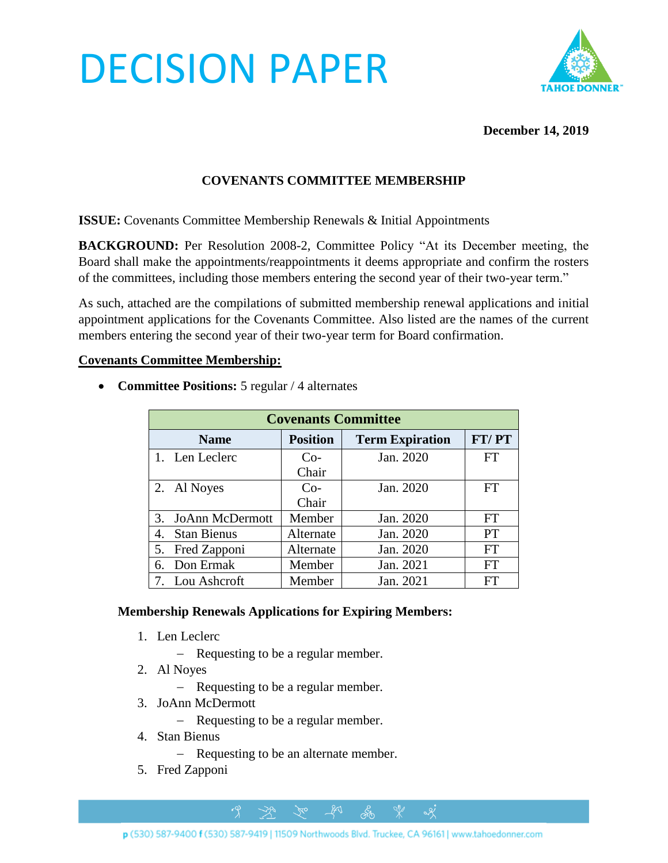# DECISION PAPER



### **December 14, 2019**

## **COVENANTS COMMITTEE MEMBERSHIP**

**ISSUE:** Covenants Committee Membership Renewals & Initial Appointments

**BACKGROUND:** Per Resolution 2008-2, Committee Policy "At its December meeting, the Board shall make the appointments/reappointments it deems appropriate and confirm the rosters of the committees, including those members entering the second year of their two-year term."

As such, attached are the compilations of submitted membership renewal applications and initial appointment applications for the Covenants Committee. Also listed are the names of the current members entering the second year of their two-year term for Board confirmation.

#### **Covenants Committee Membership:**

• **Committee Positions:** 5 regular / 4 alternates

| <b>Covenants Committee</b>   |                 |                        |           |
|------------------------------|-----------------|------------------------|-----------|
| <b>Name</b>                  | <b>Position</b> | <b>Term Expiration</b> | FT/PT     |
| 1. Len Leclerc               | $Co-$           | Jan. 2020              | <b>FT</b> |
|                              | Chair           |                        |           |
| 2. Al Noyes                  | $Co-$           | Jan. 2020              | FT        |
|                              | Chair           |                        |           |
| <b>JoAnn McDermott</b><br>3. | Member          | Jan. 2020              | <b>FT</b> |
| <b>Stan Bienus</b><br>4.     | Alternate       | Jan. 2020              | <b>PT</b> |
| Fred Zapponi<br>5.           | Alternate       | Jan. 2020              | <b>FT</b> |
| Don Ermak<br>6.              | Member          | Jan. 2021              | <b>FT</b> |
| 7. Lou Ashcroft              | Member          | Jan. 2021              | FT        |

#### **Membership Renewals Applications for Expiring Members:**

- 1. Len Leclerc
	- − Requesting to be a regular member.
- 2. Al Noyes
	- − Requesting to be a regular member.
- 3. JoAnn McDermott
	- − Requesting to be a regular member.
- 4. Stan Bienus
	- − Requesting to be an alternate member.

 $\beta$ 

5. Fred Zapponi

 $281$ 

ക്ക്

 $\alpha$